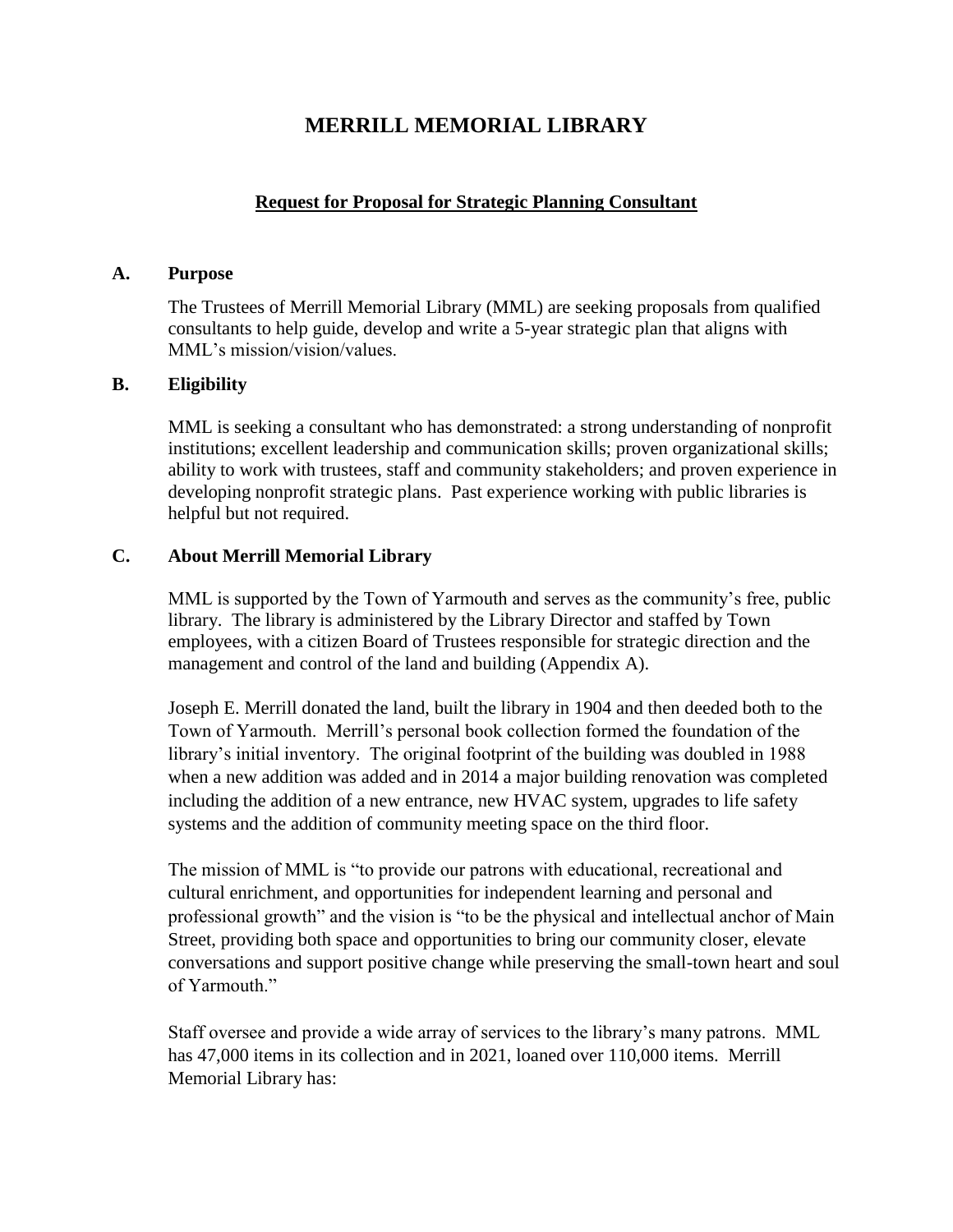# **MERRILL MEMORIAL LIBRARY**

#### **Request for Proposal for Strategic Planning Consultant**

#### **A. Purpose**

The Trustees of Merrill Memorial Library (MML) are seeking proposals from qualified consultants to help guide, develop and write a 5-year strategic plan that aligns with MML's mission/vision/values.

#### **B. Eligibility**

MML is seeking a consultant who has demonstrated: a strong understanding of nonprofit institutions; excellent leadership and communication skills; proven organizational skills; ability to work with trustees, staff and community stakeholders; and proven experience in developing nonprofit strategic plans. Past experience working with public libraries is helpful but not required.

#### **C. About Merrill Memorial Library**

MML is supported by the Town of Yarmouth and serves as the community's free, public library. The library is administered by the Library Director and staffed by Town employees, with a citizen Board of Trustees responsible for strategic direction and the management and control of the land and building (Appendix A).

Joseph E. Merrill donated the land, built the library in 1904 and then deeded both to the Town of Yarmouth. Merrill's personal book collection formed the foundation of the library's initial inventory. The original footprint of the building was doubled in 1988 when a new addition was added and in 2014 a major building renovation was completed including the addition of a new entrance, new HVAC system, upgrades to life safety systems and the addition of community meeting space on the third floor.

The mission of MML is "to provide our patrons with educational, recreational and cultural enrichment, and opportunities for independent learning and personal and professional growth" and the vision is "to be the physical and intellectual anchor of Main Street, providing both space and opportunities to bring our community closer, elevate conversations and support positive change while preserving the small-town heart and soul of Yarmouth."

Staff oversee and provide a wide array of services to the library's many patrons. MML has 47,000 items in its collection and in 2021, loaned over 110,000 items. Merrill Memorial Library has: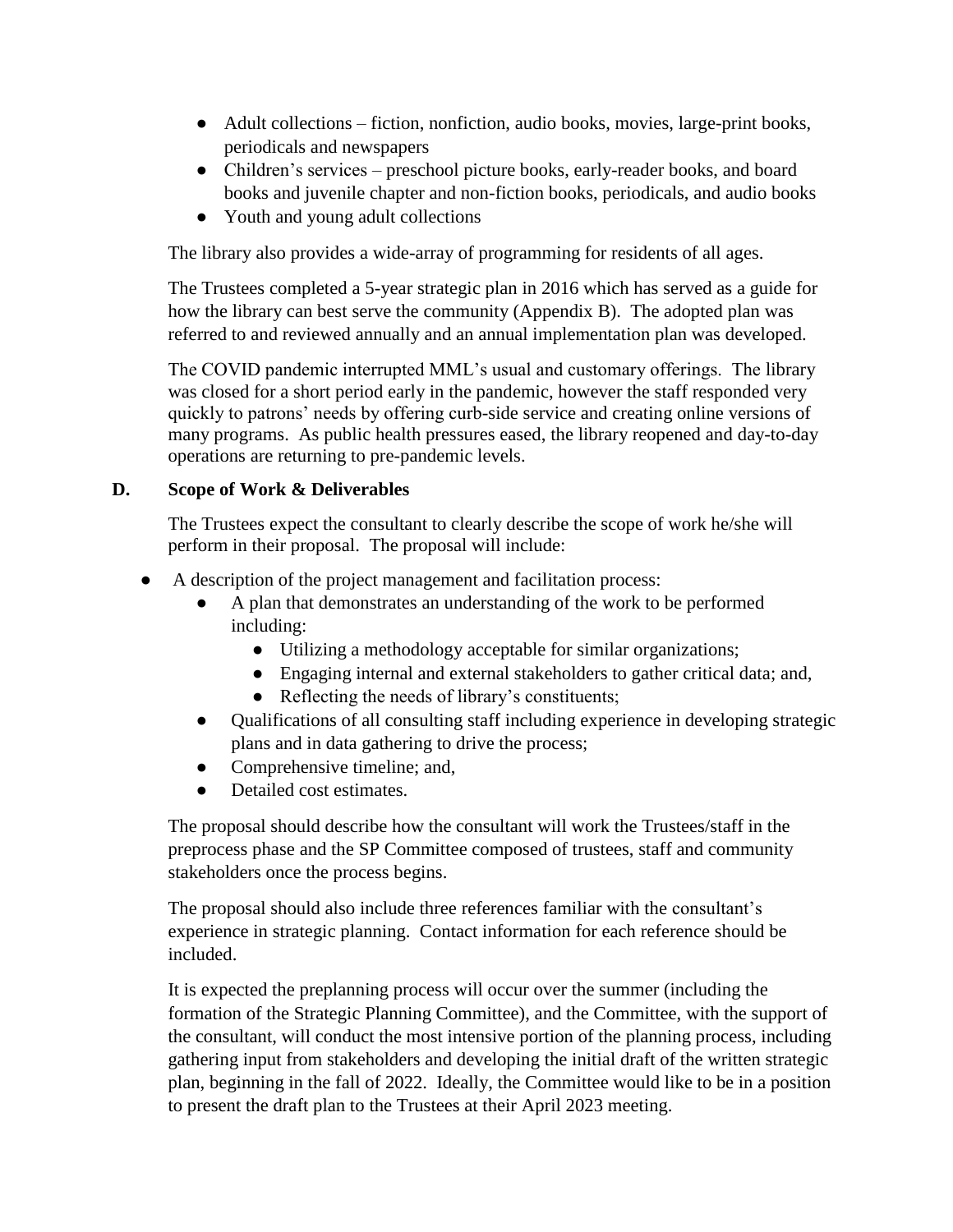- Adult collections fiction, nonfiction, audio books, movies, large-print books, periodicals and newspapers
- Children's services preschool picture books, early-reader books, and board books and juvenile chapter and non-fiction books, periodicals, and audio books
- Youth and young adult collections

The library also provides a wide-array of programming for residents of all ages.

The Trustees completed a 5-year strategic plan in 2016 which has served as a guide for how the library can best serve the community (Appendix B). The adopted plan was referred to and reviewed annually and an annual implementation plan was developed.

The COVID pandemic interrupted MML's usual and customary offerings. The library was closed for a short period early in the pandemic, however the staff responded very quickly to patrons' needs by offering curb-side service and creating online versions of many programs. As public health pressures eased, the library reopened and day-to-day operations are returning to pre-pandemic levels.

### **D. Scope of Work & Deliverables**

The Trustees expect the consultant to clearly describe the scope of work he/she will perform in their proposal. The proposal will include:

- A description of the project management and facilitation process:
	- A plan that demonstrates an understanding of the work to be performed including:
		- Utilizing a methodology acceptable for similar organizations;
		- Engaging internal and external stakeholders to gather critical data; and,
		- Reflecting the needs of library's constituents;
	- Qualifications of all consulting staff including experience in developing strategic plans and in data gathering to drive the process;
	- Comprehensive timeline; and,
	- Detailed cost estimates.

The proposal should describe how the consultant will work the Trustees/staff in the preprocess phase and the SP Committee composed of trustees, staff and community stakeholders once the process begins.

The proposal should also include three references familiar with the consultant's experience in strategic planning. Contact information for each reference should be included.

It is expected the preplanning process will occur over the summer (including the formation of the Strategic Planning Committee), and the Committee, with the support of the consultant, will conduct the most intensive portion of the planning process, including gathering input from stakeholders and developing the initial draft of the written strategic plan, beginning in the fall of 2022. Ideally, the Committee would like to be in a position to present the draft plan to the Trustees at their April 2023 meeting.